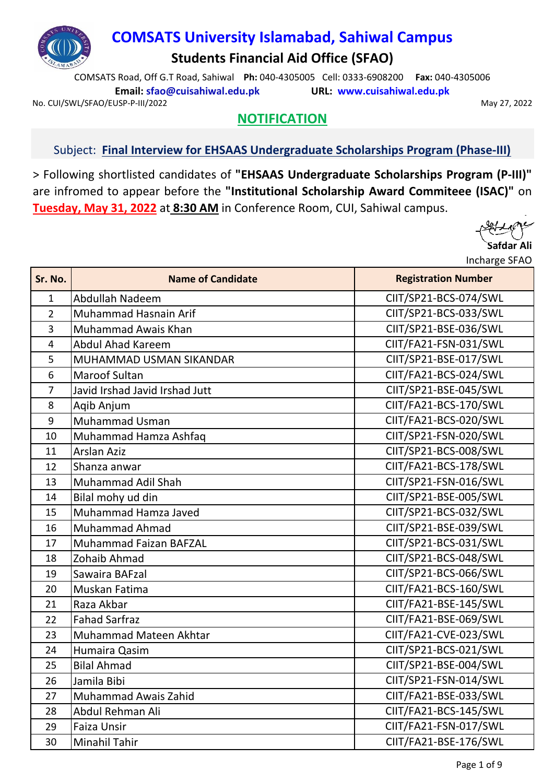

# **COMSATS University Islamabad, Sahiwal Campus**

**Students Financial Aid Office (SFAO)**

COMSATS Road, Off G.T Road, Sahiwal **Ph:** 040-4305005 Cell: 0333-6908200 **Fax:** 040-4305006 **Email: sfao@cuisahiwal.edu.pk URL: www.cuisahiwal.edu.pk**

No. CUI/SWL/SFAO/EUSP-P-III/2022 2002 12:00 12:00 12:00 12:00 12:00 12:00 12:00 12:00 12:00 12:00 12:00 12:00 1

## **NOTIFICATION**

## Subject: **Final Interview for EHSAAS Undergraduate Scholarships Program (Phase-III)**

> Following shortlisted candidates of **"EHSAAS Undergraduate Scholarships Program (P-III)"** are infromed to appear before the **"Institutional Scholarship Award Commiteee (ISAC)"** on **Tuesday, May 31, 2022** at **8:30 AM** in Conference Room, CUI, Sahiwal campus.



| Sr. No.        | <b>Name of Candidate</b>       | <b>Registration Number</b> |
|----------------|--------------------------------|----------------------------|
| $\mathbf{1}$   | Abdullah Nadeem                | CIIT/SP21-BCS-074/SWL      |
| $\overline{2}$ | Muhammad Hasnain Arif          | CIIT/SP21-BCS-033/SWL      |
| 3              | <b>Muhammad Awais Khan</b>     | CIIT/SP21-BSE-036/SWL      |
| $\overline{4}$ | <b>Abdul Ahad Kareem</b>       | CIIT/FA21-FSN-031/SWL      |
| 5              | MUHAMMAD USMAN SIKANDAR        | CIIT/SP21-BSE-017/SWL      |
| 6              | <b>Maroof Sultan</b>           | CIIT/FA21-BCS-024/SWL      |
| 7              | Javid Irshad Javid Irshad Jutt | CIIT/SP21-BSE-045/SWL      |
| 8              | Aqib Anjum                     | CIIT/FA21-BCS-170/SWL      |
| 9              | <b>Muhammad Usman</b>          | CIIT/FA21-BCS-020/SWL      |
| 10             | Muhammad Hamza Ashfaq          | CIIT/SP21-FSN-020/SWL      |
| 11             | <b>Arslan Aziz</b>             | CIIT/SP21-BCS-008/SWL      |
| 12             | Shanza anwar                   | CIIT/FA21-BCS-178/SWL      |
| 13             | Muhammad Adil Shah             | CIIT/SP21-FSN-016/SWL      |
| 14             | Bilal mohy ud din              | CIIT/SP21-BSE-005/SWL      |
| 15             | Muhammad Hamza Javed           | CIIT/SP21-BCS-032/SWL      |
| 16             | <b>Muhammad Ahmad</b>          | CIIT/SP21-BSE-039/SWL      |
| 17             | <b>Muhammad Faizan BAFZAL</b>  | CIIT/SP21-BCS-031/SWL      |
| 18             | Zohaib Ahmad                   | CIIT/SP21-BCS-048/SWL      |
| 19             | Sawaira BAFzal                 | CIIT/SP21-BCS-066/SWL      |
| 20             | Muskan Fatima                  | CIIT/FA21-BCS-160/SWL      |
| 21             | Raza Akbar                     | CIIT/FA21-BSE-145/SWL      |
| 22             | <b>Fahad Sarfraz</b>           | CIIT/FA21-BSE-069/SWL      |
| 23             | Muhammad Mateen Akhtar         | CIIT/FA21-CVE-023/SWL      |
| 24             | Humaira Qasim                  | CIIT/SP21-BCS-021/SWL      |
| 25             | <b>Bilal Ahmad</b>             | CIIT/SP21-BSE-004/SWL      |
| 26             | Jamila Bibi                    | CIIT/SP21-FSN-014/SWL      |
| 27             | <b>Muhammad Awais Zahid</b>    | CIIT/FA21-BSE-033/SWL      |
| 28             | Abdul Rehman Ali               | CIIT/FA21-BCS-145/SWL      |
| 29             | <b>Faiza Unsir</b>             | CIIT/FA21-FSN-017/SWL      |
| 30             | Minahil Tahir                  | CIIT/FA21-BSE-176/SWL      |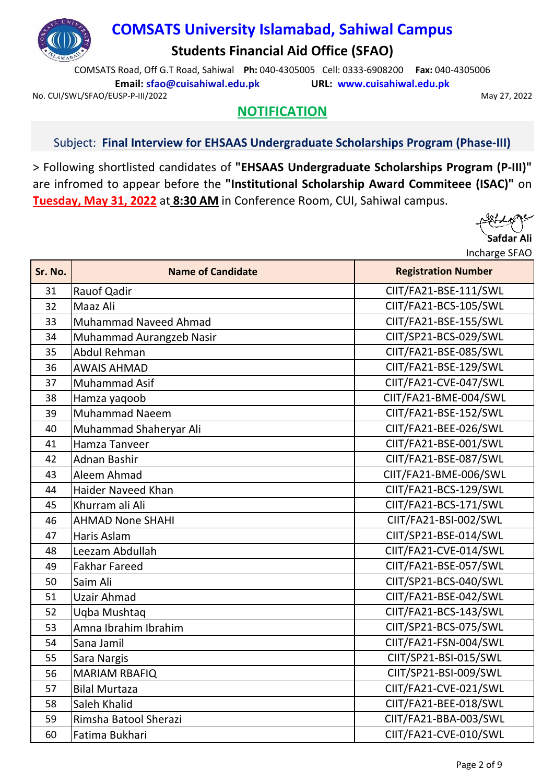

COMSATS Road, Off G.T Road, Sahiwal **Ph:** 040-4305005 Cell: 0333-6908200 **Fax:** 040-4305006 **Email: sfao@cuisahiwal.edu.pk URL: www.cuisahiwal.edu.pk**

No. CUI/SWL/SFAO/EUSP-P-III/2022 2002 12:00 12:00 12:00 12:00 12:00 12:00 12:00 12:00 12:00 12:00 12:00 12:00 1

## **NOTIFICATION**

#### Subject: **Final Interview for EHSAAS Undergraduate Scholarships Program (Phase-III)**

> Following shortlisted candidates of **"EHSAAS Undergraduate Scholarships Program (P-III)"** are infromed to appear before the **"Institutional Scholarship Award Commiteee (ISAC)"** on **Tuesday, May 31, 2022** at **8:30 AM** in Conference Room, CUI, Sahiwal campus.

| Sr. No. | <b>Name of Candidate</b>     | <b>Registration Number</b> |
|---------|------------------------------|----------------------------|
| 31      | Rauof Qadir                  | CIIT/FA21-BSE-111/SWL      |
| 32      | Maaz Ali                     | CIIT/FA21-BCS-105/SWL      |
| 33      | <b>Muhammad Naveed Ahmad</b> | CIIT/FA21-BSE-155/SWL      |
| 34      | Muhammad Aurangzeb Nasir     | CIIT/SP21-BCS-029/SWL      |
| 35      | Abdul Rehman                 | CIIT/FA21-BSE-085/SWL      |
| 36      | <b>AWAIS AHMAD</b>           | CIIT/FA21-BSE-129/SWL      |
| 37      | Muhammad Asif                | CIIT/FA21-CVE-047/SWL      |
| 38      | Hamza yaqoob                 | CIIT/FA21-BME-004/SWL      |
| 39      | <b>Muhammad Naeem</b>        | CIIT/FA21-BSE-152/SWL      |
| 40      | Muhammad Shaheryar Ali       | CIIT/FA21-BEE-026/SWL      |
| 41      | Hamza Tanveer                | CIIT/FA21-BSE-001/SWL      |
| 42      | <b>Adnan Bashir</b>          | CIIT/FA21-BSE-087/SWL      |
| 43      | Aleem Ahmad                  | CIIT/FA21-BME-006/SWL      |
| 44      | <b>Haider Naveed Khan</b>    | CIIT/FA21-BCS-129/SWL      |
| 45      | Khurram ali Ali              | CIIT/FA21-BCS-171/SWL      |
| 46      | <b>AHMAD None SHAHI</b>      | CIIT/FA21-BSI-002/SWL      |
| 47      | Haris Aslam                  | CIIT/SP21-BSE-014/SWL      |
| 48      | Leezam Abdullah              | CIIT/FA21-CVE-014/SWL      |
| 49      | <b>Fakhar Fareed</b>         | CIIT/FA21-BSE-057/SWL      |
| 50      | Saim Ali                     | CIIT/SP21-BCS-040/SWL      |
| 51      | <b>Uzair Ahmad</b>           | CIIT/FA21-BSE-042/SWL      |
| 52      | Uqba Mushtaq                 | CIIT/FA21-BCS-143/SWL      |
| 53      | Amna Ibrahim Ibrahim         | CIIT/SP21-BCS-075/SWL      |
| 54      | Sana Jamil                   | CIIT/FA21-FSN-004/SWL      |
| 55      | Sara Nargis                  | CIIT/SP21-BSI-015/SWL      |
| 56      | <b>MARIAM RBAFIQ</b>         | CIIT/SP21-BSI-009/SWL      |
| 57      | <b>Bilal Murtaza</b>         | CIIT/FA21-CVE-021/SWL      |
| 58      | Saleh Khalid                 | CIIT/FA21-BEE-018/SWL      |
| 59      | Rimsha Batool Sherazi        | CIIT/FA21-BBA-003/SWL      |
| 60      | Fatima Bukhari               | CIIT/FA21-CVE-010/SWL      |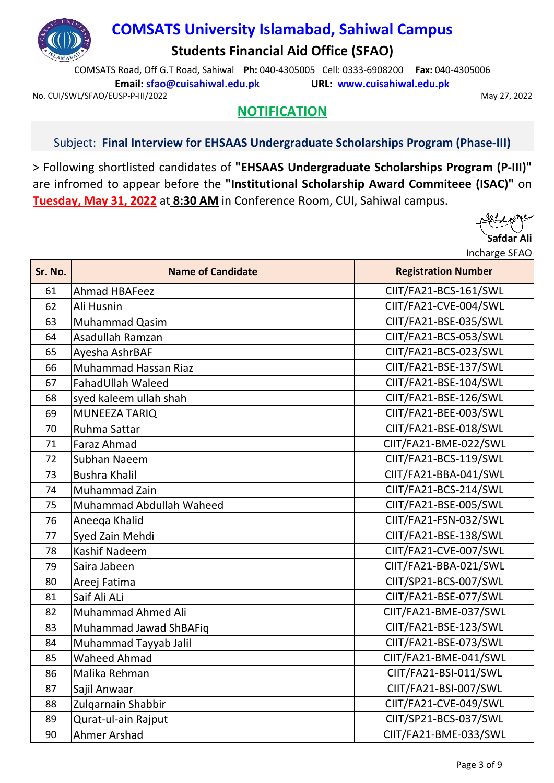

COMSATS Road, Off G.T Road, Sahiwal **Ph:** 040-4305005 Cell: 0333-6908200 **Fax:** 040-4305006 **Email: sfao@cuisahiwal.edu.pk URL: www.cuisahiwal.edu.pk**

No. CUI/SWL/SFAO/EUSP-P-III/2022 2002 12:00 12:00 12:00 12:00 12:00 12:00 12:00 12:00 12:00 12:00 12:00 12:00 1

# **NOTIFICATION**

#### Subject: **Final Interview for EHSAAS Undergraduate Scholarships Program (Phase-III)**

> Following shortlisted candidates of **"EHSAAS Undergraduate Scholarships Program (P-III)"** are infromed to appear before the **"Institutional Scholarship Award Commiteee (ISAC)"** on **Tuesday, May 31, 2022** at **8:30 AM** in Conference Room, CUI, Sahiwal campus.

| Sr. No. | <b>Name of Candidate</b>    | <b>Registration Number</b> |
|---------|-----------------------------|----------------------------|
| 61      | Ahmad HBAFeez               | CIIT/FA21-BCS-161/SWL      |
| 62      | Ali Husnin                  | CIIT/FA21-CVE-004/SWL      |
| 63      | <b>Muhammad Qasim</b>       | CIIT/FA21-BSE-035/SWL      |
| 64      | Asadullah Ramzan            | CIIT/FA21-BCS-053/SWL      |
| 65      | Ayesha AshrBAF              | CIIT/FA21-BCS-023/SWL      |
| 66      | <b>Muhammad Hassan Riaz</b> | CIIT/FA21-BSE-137/SWL      |
| 67      | FahadUllah Waleed           | CIIT/FA21-BSE-104/SWL      |
| 68      | syed kaleem ullah shah      | CIIT/FA21-BSE-126/SWL      |
| 69      | <b>MUNEEZA TARIQ</b>        | CIIT/FA21-BEE-003/SWL      |
| 70      | Ruhma Sattar                | CIIT/FA21-BSE-018/SWL      |
| 71      | <b>Faraz Ahmad</b>          | CIIT/FA21-BME-022/SWL      |
| 72      | Subhan Naeem                | CIIT/FA21-BCS-119/SWL      |
| 73      | <b>Bushra Khalil</b>        | CIIT/FA21-BBA-041/SWL      |
| 74      | Muhammad Zain               | CIIT/FA21-BCS-214/SWL      |
| 75      | Muhammad Abdullah Waheed    | CIIT/FA21-BSE-005/SWL      |
| 76      | Aneega Khalid               | CIIT/FA21-FSN-032/SWL      |
| 77      | Syed Zain Mehdi             | CIIT/FA21-BSE-138/SWL      |
| 78      | <b>Kashif Nadeem</b>        | CIIT/FA21-CVE-007/SWL      |
| 79      | Saira Jabeen                | CIIT/FA21-BBA-021/SWL      |
| 80      | Areej Fatima                | CIIT/SP21-BCS-007/SWL      |
| 81      | Saif Ali ALi                | CIIT/FA21-BSE-077/SWL      |
| 82      | <b>Muhammad Ahmed Ali</b>   | CIIT/FA21-BME-037/SWL      |
| 83      | Muhammad Jawad ShBAFiq      | CIIT/FA21-BSE-123/SWL      |
| 84      | Muhammad Tayyab Jalil       | CIIT/FA21-BSE-073/SWL      |
| 85      | <b>Waheed Ahmad</b>         | CIIT/FA21-BME-041/SWL      |
| 86      | Malika Rehman               | CIIT/FA21-BSI-011/SWL      |
| 87      | Sajil Anwaar                | CIIT/FA21-BSI-007/SWL      |
| 88      | Zulgarnain Shabbir          | CIIT/FA21-CVE-049/SWL      |
| 89      | Qurat-ul-ain Rajput         | CIIT/SP21-BCS-037/SWL      |
| 90      | <b>Ahmer Arshad</b>         | CIIT/FA21-BME-033/SWL      |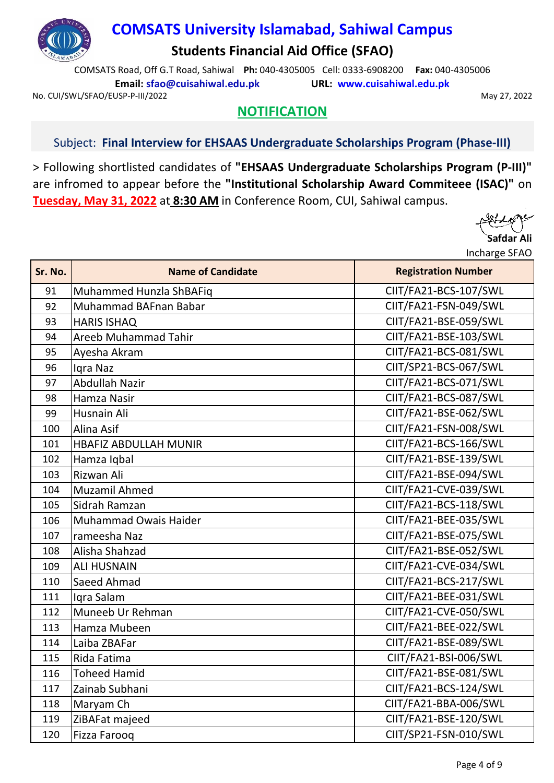

COMSATS Road, Off G.T Road, Sahiwal **Ph:** 040-4305005 Cell: 0333-6908200 **Fax:** 040-4305006 **Email: sfao@cuisahiwal.edu.pk URL: www.cuisahiwal.edu.pk**

No. CUI/SWL/SFAO/EUSP-P-III/2022 2002 12:00 12:00 12:00 12:00 12:00 12:00 12:00 12:00 12:00 12:00 12:00 12:00 1

## **NOTIFICATION**

#### Subject: **Final Interview for EHSAAS Undergraduate Scholarships Program (Phase-III)**

> Following shortlisted candidates of **"EHSAAS Undergraduate Scholarships Program (P-III)"** are infromed to appear before the **"Institutional Scholarship Award Commiteee (ISAC)"** on **Tuesday, May 31, 2022** at **8:30 AM** in Conference Room, CUI, Sahiwal campus.

| Sr. No. | <b>Name of Candidate</b>     | <b>Registration Number</b> |
|---------|------------------------------|----------------------------|
| 91      | Muhammed Hunzla ShBAFiq      | CIIT/FA21-BCS-107/SWL      |
| 92      | Muhammad BAFnan Babar        | CIIT/FA21-FSN-049/SWL      |
| 93      | <b>HARIS ISHAQ</b>           | CIIT/FA21-BSE-059/SWL      |
| 94      | Areeb Muhammad Tahir         | CIIT/FA21-BSE-103/SWL      |
| 95      | Ayesha Akram                 | CIIT/FA21-BCS-081/SWL      |
| 96      | Igra Naz                     | CIIT/SP21-BCS-067/SWL      |
| 97      | <b>Abdullah Nazir</b>        | CIIT/FA21-BCS-071/SWL      |
| 98      | Hamza Nasir                  | CIIT/FA21-BCS-087/SWL      |
| 99      | Husnain Ali                  | CIIT/FA21-BSE-062/SWL      |
| 100     | Alina Asif                   | CIIT/FA21-FSN-008/SWL      |
| 101     | <b>HBAFIZ ABDULLAH MUNIR</b> | CIIT/FA21-BCS-166/SWL      |
| 102     | Hamza Iqbal                  | CIIT/FA21-BSE-139/SWL      |
| 103     | Rizwan Ali                   | CIIT/FA21-BSE-094/SWL      |
| 104     | Muzamil Ahmed                | CIIT/FA21-CVE-039/SWL      |
| 105     | Sidrah Ramzan                | CIIT/FA21-BCS-118/SWL      |
| 106     | Muhammad Owais Haider        | CIIT/FA21-BEE-035/SWL      |
| 107     | rameesha Naz                 | CIIT/FA21-BSE-075/SWL      |
| 108     | Alisha Shahzad               | CIIT/FA21-BSE-052/SWL      |
| 109     | <b>ALI HUSNAIN</b>           | CIIT/FA21-CVE-034/SWL      |
| 110     | Saeed Ahmad                  | CIIT/FA21-BCS-217/SWL      |
| 111     | Igra Salam                   | CIIT/FA21-BEE-031/SWL      |
| 112     | Muneeb Ur Rehman             | CIIT/FA21-CVE-050/SWL      |
| 113     | Hamza Mubeen                 | CIIT/FA21-BEE-022/SWL      |
| 114     | Laiba ZBAFar                 | CIIT/FA21-BSE-089/SWL      |
| 115     | Rida Fatima                  | CIIT/FA21-BSI-006/SWL      |
| 116     | <b>Toheed Hamid</b>          | CIIT/FA21-BSE-081/SWL      |
| 117     | Zainab Subhani               | CIIT/FA21-BCS-124/SWL      |
| 118     | Maryam Ch                    | CIIT/FA21-BBA-006/SWL      |
| 119     | ZiBAFat majeed               | CIIT/FA21-BSE-120/SWL      |
| 120     | <b>Fizza Faroog</b>          | CIIT/SP21-FSN-010/SWL      |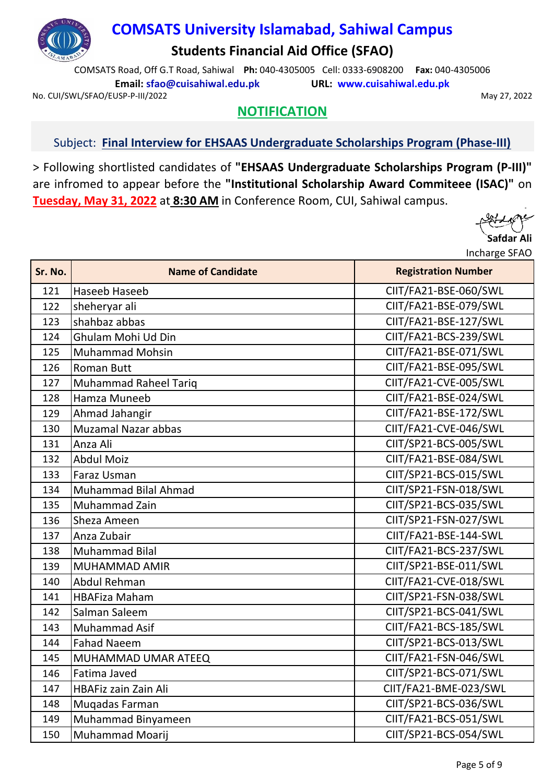

COMSATS Road, Off G.T Road, Sahiwal **Ph:** 040-4305005 Cell: 0333-6908200 **Fax:** 040-4305006 **Email: sfao@cuisahiwal.edu.pk URL: www.cuisahiwal.edu.pk**

No. CUI/SWL/SFAO/EUSP-P-III/2022 2002 12:00 12:00 12:00 12:00 12:00 12:00 12:00 12:00 12:00 12:00 12:00 12:00 1

## **NOTIFICATION**

#### Subject: **Final Interview for EHSAAS Undergraduate Scholarships Program (Phase-III)**

> Following shortlisted candidates of **"EHSAAS Undergraduate Scholarships Program (P-III)"** are infromed to appear before the **"Institutional Scholarship Award Commiteee (ISAC)"** on **Tuesday, May 31, 2022** at **8:30 AM** in Conference Room, CUI, Sahiwal campus.

| Sr. No. | <b>Name of Candidate</b>     | <b>Registration Number</b> |
|---------|------------------------------|----------------------------|
| 121     | Haseeb Haseeb                | CIIT/FA21-BSE-060/SWL      |
| 122     | sheheryar ali                | CIIT/FA21-BSE-079/SWL      |
| 123     | shahbaz abbas                | CIIT/FA21-BSE-127/SWL      |
| 124     | Ghulam Mohi Ud Din           | CIIT/FA21-BCS-239/SWL      |
| 125     | <b>Muhammad Mohsin</b>       | CIIT/FA21-BSE-071/SWL      |
| 126     | <b>Roman Butt</b>            | CIIT/FA21-BSE-095/SWL      |
| 127     | <b>Muhammad Raheel Tariq</b> | CIIT/FA21-CVE-005/SWL      |
| 128     | Hamza Muneeb                 | CIIT/FA21-BSE-024/SWL      |
| 129     | Ahmad Jahangir               | CIIT/FA21-BSE-172/SWL      |
| 130     | <b>Muzamal Nazar abbas</b>   | CIIT/FA21-CVE-046/SWL      |
| 131     | Anza Ali                     | CIIT/SP21-BCS-005/SWL      |
| 132     | <b>Abdul Moiz</b>            | CIIT/FA21-BSE-084/SWL      |
| 133     | Faraz Usman                  | CIIT/SP21-BCS-015/SWL      |
| 134     | Muhammad Bilal Ahmad         | CIIT/SP21-FSN-018/SWL      |
| 135     | Muhammad Zain                | CIIT/SP21-BCS-035/SWL      |
| 136     | Sheza Ameen                  | CIIT/SP21-FSN-027/SWL      |
| 137     | Anza Zubair                  | CIIT/FA21-BSE-144-SWL      |
| 138     | <b>Muhammad Bilal</b>        | CIIT/FA21-BCS-237/SWL      |
| 139     | <b>MUHAMMAD AMIR</b>         | CIIT/SP21-BSE-011/SWL      |
| 140     | <b>Abdul Rehman</b>          | CIIT/FA21-CVE-018/SWL      |
| 141     | <b>HBAFiza Maham</b>         | CIIT/SP21-FSN-038/SWL      |
| 142     | Salman Saleem                | CIIT/SP21-BCS-041/SWL      |
| 143     | Muhammad Asif                | CIIT/FA21-BCS-185/SWL      |
| 144     | <b>Fahad Naeem</b>           | CIIT/SP21-BCS-013/SWL      |
| 145     | MUHAMMAD UMAR ATEEQ          | CIIT/FA21-FSN-046/SWL      |
| 146     | Fatima Javed                 | CIIT/SP21-BCS-071/SWL      |
| 147     | <b>HBAFiz zain Zain Ali</b>  | CIIT/FA21-BME-023/SWL      |
| 148     | Muqadas Farman               | CIIT/SP21-BCS-036/SWL      |
| 149     | Muhammad Binyameen           | CIIT/FA21-BCS-051/SWL      |
| 150     | Muhammad Moarij              | CIIT/SP21-BCS-054/SWL      |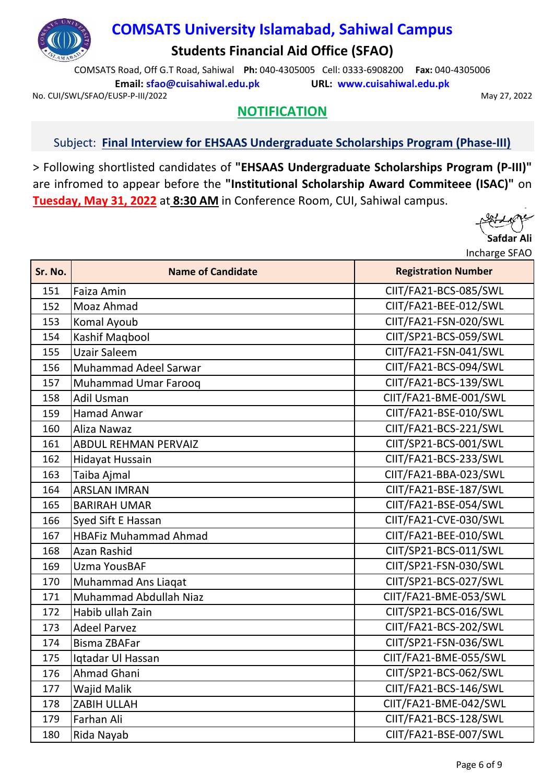

COMSATS Road, Off G.T Road, Sahiwal **Ph:** 040-4305005 Cell: 0333-6908200 **Fax:** 040-4305006 **Email: sfao@cuisahiwal.edu.pk URL: www.cuisahiwal.edu.pk**

No. CUI/SWL/SFAO/EUSP-P-III/2022 2002 12:00 12:00 12:00 12:00 12:00 12:00 12:00 12:00 12:00 12:00 12:00 12:00 1

## **NOTIFICATION**

#### Subject: **Final Interview for EHSAAS Undergraduate Scholarships Program (Phase-III)**

> Following shortlisted candidates of **"EHSAAS Undergraduate Scholarships Program (P-III)"** are infromed to appear before the **"Institutional Scholarship Award Commiteee (ISAC)"** on **Tuesday, May 31, 2022** at **8:30 AM** in Conference Room, CUI, Sahiwal campus.

| Sr. No. | <b>Name of Candidate</b>      | <b>Registration Number</b> |
|---------|-------------------------------|----------------------------|
| 151     | Faiza Amin                    | CIIT/FA21-BCS-085/SWL      |
| 152     | Moaz Ahmad                    | CIIT/FA21-BEE-012/SWL      |
| 153     | Komal Ayoub                   | CIIT/FA21-FSN-020/SWL      |
| 154     | Kashif Maqbool                | CIIT/SP21-BCS-059/SWL      |
| 155     | <b>Uzair Saleem</b>           | CIIT/FA21-FSN-041/SWL      |
| 156     | Muhammad Adeel Sarwar         | CIIT/FA21-BCS-094/SWL      |
| 157     | Muhammad Umar Farooq          | CIIT/FA21-BCS-139/SWL      |
| 158     | <b>Adil Usman</b>             | CIIT/FA21-BME-001/SWL      |
| 159     | <b>Hamad Anwar</b>            | CIIT/FA21-BSE-010/SWL      |
| 160     | Aliza Nawaz                   | CIIT/FA21-BCS-221/SWL      |
| 161     | <b>ABDUL REHMAN PERVAIZ</b>   | CIIT/SP21-BCS-001/SWL      |
| 162     | <b>Hidayat Hussain</b>        | CIIT/FA21-BCS-233/SWL      |
| 163     | Taiba Ajmal                   | CIIT/FA21-BBA-023/SWL      |
| 164     | <b>ARSLAN IMRAN</b>           | CIIT/FA21-BSE-187/SWL      |
| 165     | <b>BARIRAH UMAR</b>           | CIIT/FA21-BSE-054/SWL      |
| 166     | Syed Sift E Hassan            | CIIT/FA21-CVE-030/SWL      |
| 167     | <b>HBAFiz Muhammad Ahmad</b>  | CIIT/FA21-BEE-010/SWL      |
| 168     | Azan Rashid                   | CIIT/SP21-BCS-011/SWL      |
| 169     | <b>Uzma YousBAF</b>           | CIIT/SP21-FSN-030/SWL      |
| 170     | Muhammad Ans Liaqat           | CIIT/SP21-BCS-027/SWL      |
| 171     | <b>Muhammad Abdullah Niaz</b> | CIIT/FA21-BME-053/SWL      |
| 172     | Habib ullah Zain              | CIIT/SP21-BCS-016/SWL      |
| 173     | <b>Adeel Parvez</b>           | CIIT/FA21-BCS-202/SWL      |
| 174     | <b>Bisma ZBAFar</b>           | CIIT/SP21-FSN-036/SWL      |
| 175     | Iqtadar Ul Hassan             | CIIT/FA21-BME-055/SWL      |
| 176     | Ahmad Ghani                   | CIIT/SP21-BCS-062/SWL      |
| 177     | <b>Wajid Malik</b>            | CIIT/FA21-BCS-146/SWL      |
| 178     | <b>ZABIH ULLAH</b>            | CIIT/FA21-BME-042/SWL      |
| 179     | Farhan Ali                    | CIIT/FA21-BCS-128/SWL      |
| 180     | Rida Nayab                    | CIIT/FA21-BSE-007/SWL      |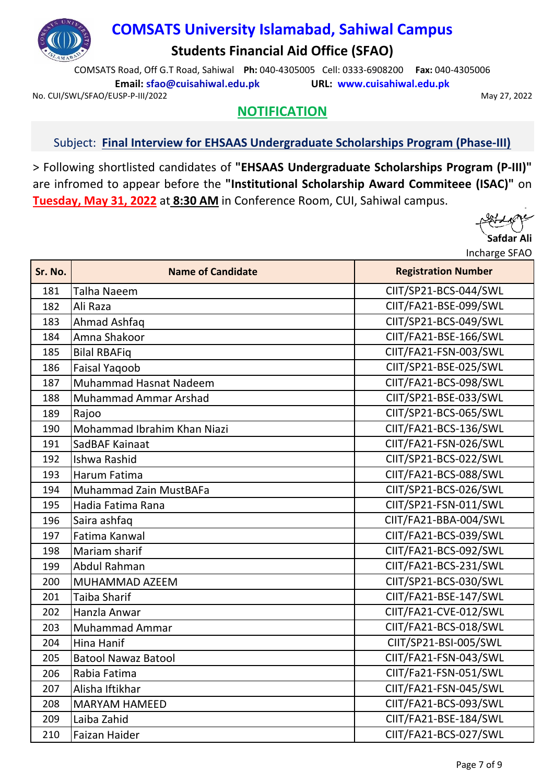

COMSATS Road, Off G.T Road, Sahiwal **Ph:** 040-4305005 Cell: 0333-6908200 **Fax:** 040-4305006 **Email: sfao@cuisahiwal.edu.pk URL: www.cuisahiwal.edu.pk**

No. CUI/SWL/SFAO/EUSP-P-III/2022 2002 12:00 12:00 12:00 12:00 12:00 12:00 12:00 12:00 12:00 12:00 12:00 12:00 1

## **NOTIFICATION**

#### Subject: **Final Interview for EHSAAS Undergraduate Scholarships Program (Phase-III)**

> Following shortlisted candidates of **"EHSAAS Undergraduate Scholarships Program (P-III)"** are infromed to appear before the **"Institutional Scholarship Award Commiteee (ISAC)"** on **Tuesday, May 31, 2022** at **8:30 AM** in Conference Room, CUI, Sahiwal campus.

| Sr. No. | <b>Name of Candidate</b>      | <b>Registration Number</b> |
|---------|-------------------------------|----------------------------|
| 181     | <b>Talha Naeem</b>            | CIIT/SP21-BCS-044/SWL      |
| 182     | Ali Raza                      | CIIT/FA21-BSE-099/SWL      |
| 183     | Ahmad Ashfaq                  | CIIT/SP21-BCS-049/SWL      |
| 184     | Amna Shakoor                  | CIIT/FA21-BSE-166/SWL      |
| 185     | <b>Bilal RBAFiq</b>           | CIIT/FA21-FSN-003/SWL      |
| 186     | <b>Faisal Yaqoob</b>          | CIIT/SP21-BSE-025/SWL      |
| 187     | Muhammad Hasnat Nadeem        | CIIT/FA21-BCS-098/SWL      |
| 188     | Muhammad Ammar Arshad         | CIIT/SP21-BSE-033/SWL      |
| 189     | Rajoo                         | CIIT/SP21-BCS-065/SWL      |
| 190     | Mohammad Ibrahim Khan Niazi   | CIIT/FA21-BCS-136/SWL      |
| 191     | SadBAF Kainaat                | CIIT/FA21-FSN-026/SWL      |
| 192     | Ishwa Rashid                  | CIIT/SP21-BCS-022/SWL      |
| 193     | Harum Fatima                  | CIIT/FA21-BCS-088/SWL      |
| 194     | <b>Muhammad Zain MustBAFa</b> | CIIT/SP21-BCS-026/SWL      |
| 195     | Hadia Fatima Rana             | CIIT/SP21-FSN-011/SWL      |
| 196     | Saira ashfaq                  | CIIT/FA21-BBA-004/SWL      |
| 197     | Fatima Kanwal                 | CIIT/FA21-BCS-039/SWL      |
| 198     | Mariam sharif                 | CIIT/FA21-BCS-092/SWL      |
| 199     | <b>Abdul Rahman</b>           | CIIT/FA21-BCS-231/SWL      |
| 200     | MUHAMMAD AZEEM                | CIIT/SP21-BCS-030/SWL      |
| 201     | <b>Taiba Sharif</b>           | CIIT/FA21-BSE-147/SWL      |
| 202     | Hanzla Anwar                  | CIIT/FA21-CVE-012/SWL      |
| 203     | Muhammad Ammar                | CIIT/FA21-BCS-018/SWL      |
| 204     | Hina Hanif                    | CIIT/SP21-BSI-005/SWL      |
| 205     | <b>Batool Nawaz Batool</b>    | CIIT/FA21-FSN-043/SWL      |
| 206     | Rabia Fatima                  | CIIT/Fa21-FSN-051/SWL      |
| 207     | Alisha Iftikhar               | CIIT/FA21-FSN-045/SWL      |
| 208     | <b>MARYAM HAMEED</b>          | CIIT/FA21-BCS-093/SWL      |
| 209     | Laiba Zahid                   | CIIT/FA21-BSE-184/SWL      |
| 210     | <b>Faizan Haider</b>          | CIIT/FA21-BCS-027/SWL      |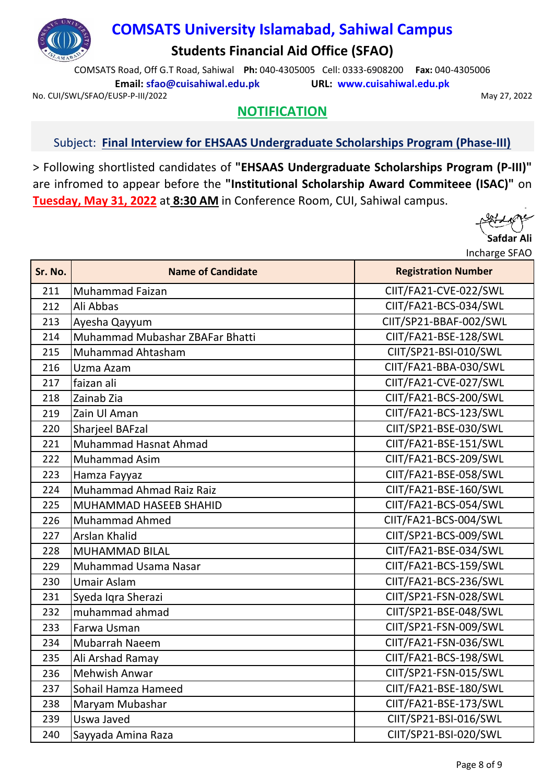

COMSATS Road, Off G.T Road, Sahiwal **Ph:** 040-4305005 Cell: 0333-6908200 **Fax:** 040-4305006 **Email: sfao@cuisahiwal.edu.pk URL: www.cuisahiwal.edu.pk**

No. CUI/SWL/SFAO/EUSP-P-III/2022 2002 12:00 12:00 12:00 12:00 12:00 12:00 12:00 12:00 12:00 12:00 12:00 12:00 1

## **NOTIFICATION**

#### Subject: **Final Interview for EHSAAS Undergraduate Scholarships Program (Phase-III)**

> Following shortlisted candidates of **"EHSAAS Undergraduate Scholarships Program (P-III)"** are infromed to appear before the **"Institutional Scholarship Award Commiteee (ISAC)"** on **Tuesday, May 31, 2022** at **8:30 AM** in Conference Room, CUI, Sahiwal campus.

| Sr. No. | <b>Name of Candidate</b>        | <b>Registration Number</b> |
|---------|---------------------------------|----------------------------|
| 211     | <b>Muhammad Faizan</b>          | CIIT/FA21-CVE-022/SWL      |
| 212     | Ali Abbas                       | CIIT/FA21-BCS-034/SWL      |
| 213     | Ayesha Qayyum                   | CIIT/SP21-BBAF-002/SWL     |
| 214     | Muhammad Mubashar ZBAFar Bhatti | CIIT/FA21-BSE-128/SWL      |
| 215     | Muhammad Ahtasham               | CIIT/SP21-BSI-010/SWL      |
| 216     | Uzma Azam                       | CIIT/FA21-BBA-030/SWL      |
| 217     | faizan ali                      | CIIT/FA21-CVE-027/SWL      |
| 218     | Zainab Zia                      | CIIT/FA21-BCS-200/SWL      |
| 219     | Zain Ul Aman                    | CIIT/FA21-BCS-123/SWL      |
| 220     | <b>Sharjeel BAFzal</b>          | CIIT/SP21-BSE-030/SWL      |
| 221     | <b>Muhammad Hasnat Ahmad</b>    | CIIT/FA21-BSE-151/SWL      |
| 222     | <b>Muhammad Asim</b>            | CIIT/FA21-BCS-209/SWL      |
| 223     | Hamza Fayyaz                    | CIIT/FA21-BSE-058/SWL      |
| 224     | Muhammad Ahmad Raiz Raiz        | CIIT/FA21-BSE-160/SWL      |
| 225     | <b>MUHAMMAD HASEEB SHAHID</b>   | CIIT/FA21-BCS-054/SWL      |
| 226     | <b>Muhammad Ahmed</b>           | CIIT/FA21-BCS-004/SWL      |
| 227     | <b>Arslan Khalid</b>            | CIIT/SP21-BCS-009/SWL      |
| 228     | <b>MUHAMMAD BILAL</b>           | CIIT/FA21-BSE-034/SWL      |
| 229     | Muhammad Usama Nasar            | CIIT/FA21-BCS-159/SWL      |
| 230     | Umair Aslam                     | CIIT/FA21-BCS-236/SWL      |
| 231     | Syeda Iqra Sherazi              | CIIT/SP21-FSN-028/SWL      |
| 232     | muhammad ahmad                  | CIIT/SP21-BSE-048/SWL      |
| 233     | Farwa Usman                     | CIIT/SP21-FSN-009/SWL      |
| 234     | Mubarrah Naeem                  | CIIT/FA21-FSN-036/SWL      |
| 235     | Ali Arshad Ramay                | CIIT/FA21-BCS-198/SWL      |
| 236     | <b>Mehwish Anwar</b>            | CIIT/SP21-FSN-015/SWL      |
| 237     | Sohail Hamza Hameed             | CIIT/FA21-BSE-180/SWL      |
| 238     | Maryam Mubashar                 | CIIT/FA21-BSE-173/SWL      |
| 239     | Uswa Javed                      | CIIT/SP21-BSI-016/SWL      |
| 240     | Sayyada Amina Raza              | CIIT/SP21-BSI-020/SWL      |